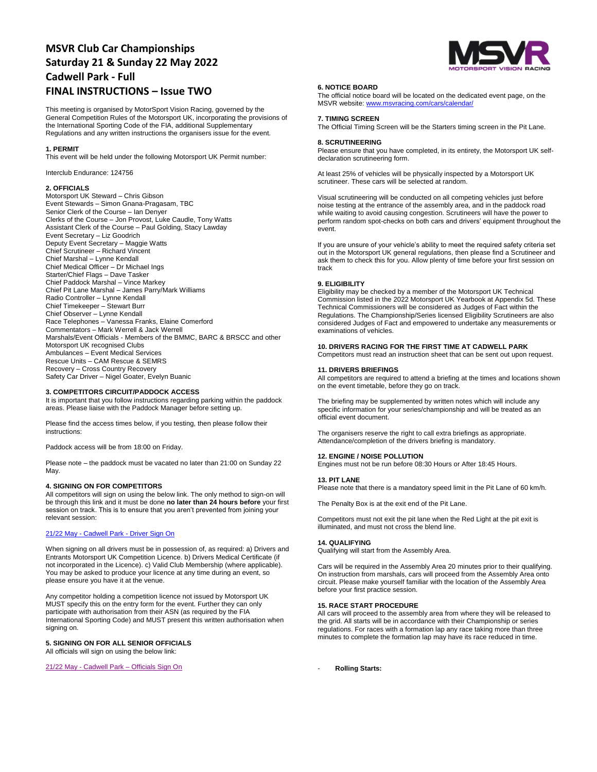# **MSVR Club Car Championships Saturday 21 & Sunday 22 May 2022 Cadwell Park - Full FINAL INSTRUCTIONS – Issue TWO**

This meeting is organised by MotorSport Vision Racing, governed by the General Competition Rules of the Motorsport UK, incorporating the provisions of the International Sporting Code of the FIA, additional Supplementary Regulations and any written instructions the organisers issue for the event.

#### **1. PERMIT**

This event will be held under the following Motorsport UK Permit number:

Interclub Endurance: 124756

# **2. OFFICIALS**

Motorsport UK Steward – Chris Gibson Event Stewards – Simon Gnana-Pragasam, TBC Senior Clerk of the Course – Ian Denyer Clerks of the Course – Jon Provost, Luke Caudle, Tony Watts Assistant Clerk of the Course – Paul Golding, Stacy Lawday Event Secretary – Liz Goodrich Deputy Event Secretary – Maggie Watts Chief Scrutineer – Richard Vincent Chief Marshal – Lynne Kendall Chief Medical Officer – Dr Michael Ings Starter/Chief Flags – Dave Tasker Chief Paddock Marshal – Vince Markey Chief Pit Lane Marshal – James Parry/Mark Williams Radio Controller – Lynne Kendall Chief Timekeeper – Stewart Burr Chief Observer – Lynne Kendall Race Telephones – Vanessa Franks, Elaine Comerford Commentators – Mark Werrell & Jack Werrell Marshals/Event Officials - Members of the BMMC, BARC & BRSCC and other Motorsport UK recognised Clubs Ambulances – Event Medical Services Rescue Units – CAM Rescue & SEMRS Recovery – Cross Country Recovery Safety Car Driver – Nigel Goater, Evelyn Buanic

# **3. COMPETITORS CIRCUIT/PADDOCK ACCESS**

It is important that you follow instructions regarding parking within the paddock areas. Please liaise with the Paddock Manager before setting up.

Please find the access times below, if you testing, then please follow their instructions:

Paddock access will be from 18:00 on Friday.

Please note – the paddock must be vacated no later than 21:00 on Sunday 22 May.

#### **4. SIGNING ON FOR COMPETITORS**

All competitors will sign on using the below link. The only method to sign-on will be through this link and it must be done **no later than 24 hours before** your first session on track. This is to ensure that you aren't prevented from joining your relevant session:

# 21/22 May - Cadwell Park - [Driver Sign On](https://racing.msv.com/CheckIn/4d64ccbd-c0fc-4787-804e-c34bbc6fbaa2)

When signing on all drivers must be in possession of, as required: a) Drivers and Entrants Motorsport UK Competition Licence. b) Drivers Medical Certificate (if not incorporated in the Licence). c) Valid Club Membership (where applicable). You may be asked to produce your licence at any time during an event, so please ensure you have it at the venue.

Any competitor holding a competition licence not issued by Motorsport UK MUST specify this on the entry form for the event. Further they can only participate with authorisation from their ASN (as required by the FIA International Sporting Code) and MUST present this written authorisation when signing on.

# **5. SIGNING ON FOR ALL SENIOR OFFICIALS**

All officials will sign on using the below link:

21/22 May - Cadwell Park – [Officials Sign On](https://racing.msv.com/CheckIn/Officals/4d64ccbd-c0fc-4787-804e-c34bbc6fbaa2)



# **6. NOTICE BOARD**

The official notice board will be located on the dedicated event page, on the MSVR website[: www.msvracing.com/cars/calendar/](http://www.msvracing.com/cars/calendar/)

# **7. TIMING SCREEN**

The Official Timing Screen will be the Starters timing screen in the Pit Lane.

# **8. SCRUTINEERING**

Please ensure that you have completed, in its entirety, the Motorsport UK selfdeclaration scrutineering form.

At least 25% of vehicles will be physically inspected by a Motorsport UK scrutineer. These cars will be selected at random.

Visual scrutineering will be conducted on all competing vehicles just before noise testing at the entrance of the assembly area, and in the paddock road while waiting to avoid causing congestion. Scrutineers will have the power to perform random spot-checks on both cars and drivers' equipment throughout the event.

If you are unsure of your vehicle's ability to meet the required safety criteria set out in the Motorsport UK general regulations, then please find a Scrutineer and ask them to check this for you. Allow plenty of time before your first session on track

## **9. ELIGIBILITY**

Eligibility may be checked by a member of the Motorsport UK Technical Commission listed in the 2022 Motorsport UK Yearbook at Appendix 5d. These Technical Commissioners will be considered as Judges of Fact within the Regulations. The Championship/Series licensed Eligibility Scrutineers are also considered Judges of Fact and empowered to undertake any measurements or examinations of vehicles.

**10. DRIVERS RACING FOR THE FIRST TIME AT CADWELL PARK** Competitors must read an instruction sheet that can be sent out upon request.

#### **11. DRIVERS BRIEFINGS**

All competitors are required to attend a briefing at the times and locations shown on the event timetable, before they go on track.

The briefing may be supplemented by written notes which will include any specific information for your series/championship and will be treated as an official event document.

The organisers reserve the right to call extra briefings as appropriate. Attendance/completion of the drivers briefing is mandatory.

# Engines must not be run before 08:30 Hours or After 18:45 Hours.

**13. PIT LANE**

**12. ENGINE / NOISE POLLUTION**

Please note that there is a mandatory speed limit in the Pit Lane of 60 km/h.

The Penalty Box is at the exit end of the Pit Lane.

Competitors must not exit the pit lane when the Red Light at the pit exit is illuminated, and must not cross the blend line.

#### **14. QUALIFYING**

Qualifying will start from the Assembly Area.

Cars will be required in the Assembly Area 20 minutes prior to their qualifying. On instruction from marshals, cars will proceed from the Assembly Area onto circuit. Please make yourself familiar with the location of the Assembly Area before your first practice session.

# **15. RACE START PROCEDURE**

All cars will proceed to the assembly area from where they will be released to the grid. All starts will be in accordance with their Championship or series regulations. For races with a formation lap any race taking more than three minutes to complete the formation lap may have its race reduced in time.

- **Rolling Starts:**